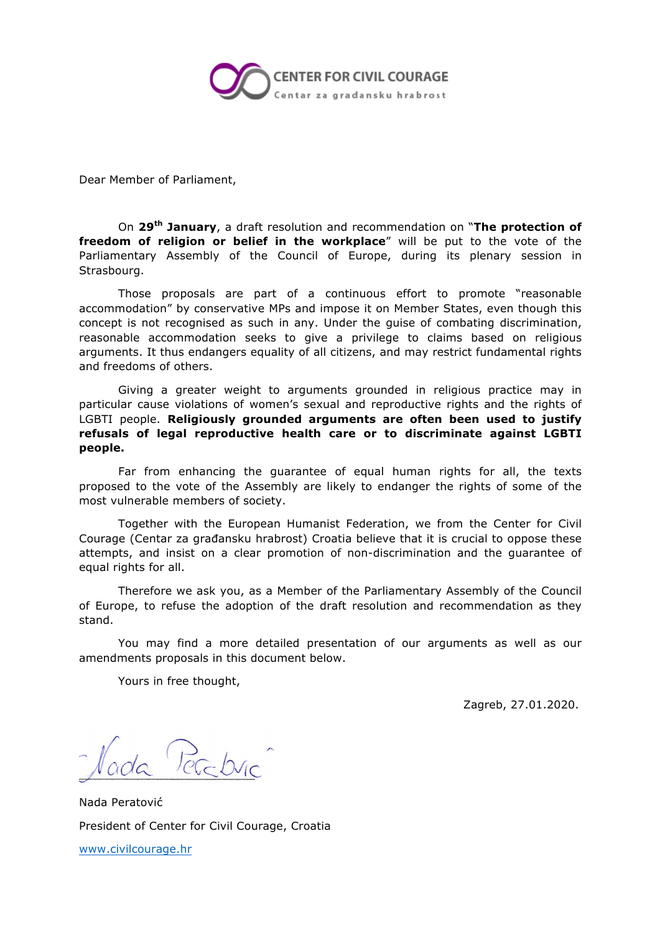

Dear Member of Parliament,

On **29th January**, a draft resolution and recommendation on "**The protection of freedom of religion or belief in the workplace**" will be put to the vote of the Parliamentary Assembly of the Council of Europe, during its plenary session in Strasbourg.

Those proposals are part of a continuous effort to promote "reasonable accommodation" by conservative MPs and impose it on Member States, even though this concept is not recognised as such in any. Under the guise of combating discrimination, reasonable accommodation seeks to give a privilege to claims based on religious arguments. It thus endangers equality of all citizens, and may restrict fundamental rights and freedoms of others.

Giving a greater weight to arguments grounded in religious practice may in particular cause violations of women's sexual and reproductive rights and the rights of LGBTI people. **Religiously grounded arguments are often been used to justify refusals of legal reproductive health care or to discriminate against LGBTI people.**

Far from enhancing the guarantee of equal human rights for all, the texts proposed to the vote of the Assembly are likely to endanger the rights of some of the most vulnerable members of society.

Together with the European Humanist Federation, we from the Center for Civil Courage (Centar za građansku hrabrost) Croatia believe that it is crucial to oppose these attempts, and insist on a clear promotion of non-discrimination and the guarantee of equal rights for all.

Therefore we ask you, as a Member of the Parliamentary Assembly of the Council of Europe, to refuse the adoption of the draft resolution and recommendation as they stand.

You may find a more detailed presentation of our arguments as well as our amendments proposals in this document below.

Yours in free thought,

Zagreb, 27.01.2020.

Nada Peratović President of Center for Civil Courage, Croatia www.civilcourage.hr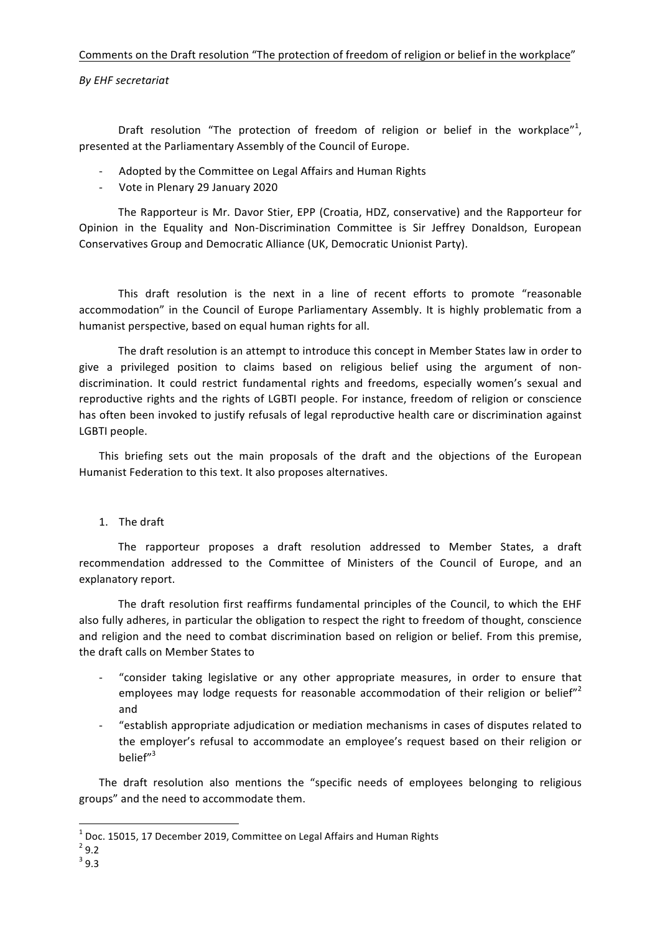## Comments on the Draft resolution "The protection of freedom of religion or belief in the workplace"

## *By EHF secretariat*

Draft resolution "The protection of freedom of religion or belief in the workplace"<sup>1</sup>, presented at the Parliamentary Assembly of the Council of Europe.

- Adopted by the Committee on Legal Affairs and Human Rights
- Vote in Plenary 29 January 2020

The Rapporteur is Mr. Davor Stier, EPP (Croatia, HDZ, conservative) and the Rapporteur for Opinion in the Equality and Non-Discrimination Committee is Sir Jeffrey Donaldson, European Conservatives Group and Democratic Alliance (UK, Democratic Unionist Party).

This draft resolution is the next in a line of recent efforts to promote "reasonable accommodation" in the Council of Europe Parliamentary Assembly. It is highly problematic from a humanist perspective, based on equal human rights for all.

The draft resolution is an attempt to introduce this concept in Member States law in order to give a privileged position to claims based on religious belief using the argument of nondiscrimination. It could restrict fundamental rights and freedoms, especially women's sexual and reproductive rights and the rights of LGBTI people. For instance, freedom of religion or conscience has often been invoked to justify refusals of legal reproductive health care or discrimination against LGBTI people.

This briefing sets out the main proposals of the draft and the objections of the European Humanist Federation to this text. It also proposes alternatives.

1. The draft

The rapporteur proposes a draft resolution addressed to Member States, a draft recommendation addressed to the Committee of Ministers of the Council of Europe, and an explanatory report.

The draft resolution first reaffirms fundamental principles of the Council, to which the EHF also fully adheres, in particular the obligation to respect the right to freedom of thought, conscience and religion and the need to combat discrimination based on religion or belief. From this premise, the draft calls on Member States to

- "consider taking legislative or any other appropriate measures, in order to ensure that employees may lodge requests for reasonable accommodation of their religion or belief"<sup>2</sup> and
- "establish appropriate adjudication or mediation mechanisms in cases of disputes related to the employer's refusal to accommodate an employee's request based on their religion or belief"<sup>3</sup>

The draft resolution also mentions the "specific needs of employees belonging to religious groups" and the need to accommodate them.

<u> 1989 - Johann Stein, marwolaethau a bh</u>

<sup>&</sup>lt;sup>1</sup> Doc. 15015, 17 December 2019, Committee on Legal Affairs and Human Rights <sup>2</sup> 9.2

<sup>3</sup> 9.3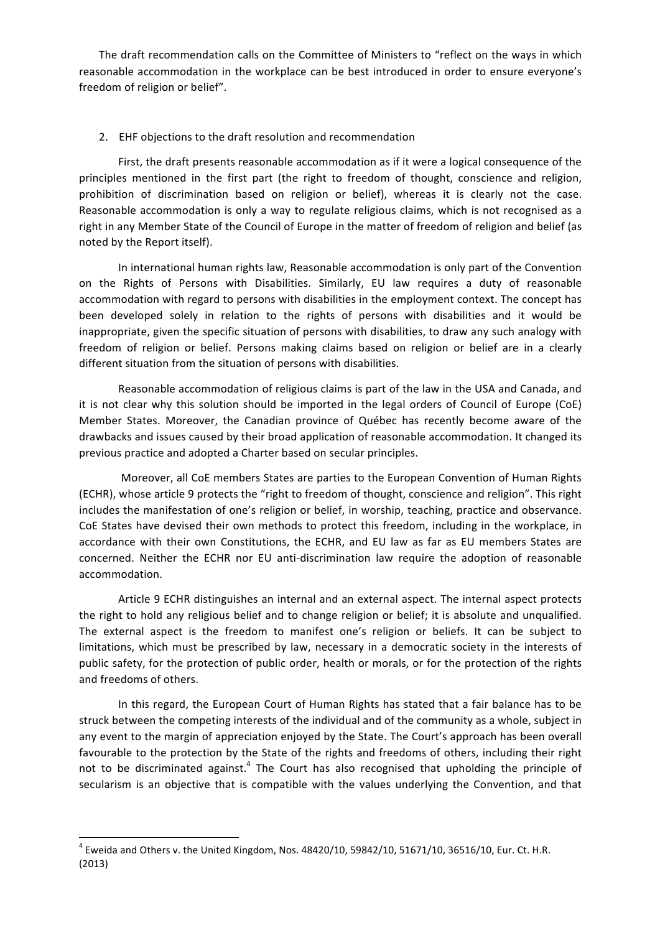The draft recommendation calls on the Committee of Ministers to "reflect on the ways in which reasonable accommodation in the workplace can be best introduced in order to ensure everyone's freedom of religion or belief".

## 2. EHF objections to the draft resolution and recommendation

First, the draft presents reasonable accommodation as if it were a logical consequence of the principles mentioned in the first part (the right to freedom of thought, conscience and religion, prohibition of discrimination based on religion or belief), whereas it is clearly not the case. Reasonable accommodation is only a way to regulate religious claims, which is not recognised as a right in any Member State of the Council of Europe in the matter of freedom of religion and belief (as noted by the Report itself).

In international human rights law, Reasonable accommodation is only part of the Convention on the Rights of Persons with Disabilities. Similarly, EU law requires a duty of reasonable accommodation with regard to persons with disabilities in the employment context. The concept has been developed solely in relation to the rights of persons with disabilities and it would be inappropriate, given the specific situation of persons with disabilities, to draw any such analogy with freedom of religion or belief. Persons making claims based on religion or belief are in a clearly different situation from the situation of persons with disabilities.

Reasonable accommodation of religious claims is part of the law in the USA and Canada, and it is not clear why this solution should be imported in the legal orders of Council of Europe (CoE) Member States. Moreover, the Canadian province of Québec has recently become aware of the drawbacks and issues caused by their broad application of reasonable accommodation. It changed its previous practice and adopted a Charter based on secular principles.

Moreover, all CoE members States are parties to the European Convention of Human Rights (ECHR), whose article 9 protects the "right to freedom of thought, conscience and religion". This right includes the manifestation of one's religion or belief, in worship, teaching, practice and observance. CoE States have devised their own methods to protect this freedom, including in the workplace, in accordance with their own Constitutions, the ECHR, and EU law as far as EU members States are concerned. Neither the ECHR nor EU anti-discrimination law require the adoption of reasonable accommodation.

Article 9 ECHR distinguishes an internal and an external aspect. The internal aspect protects the right to hold any religious belief and to change religion or belief; it is absolute and unqualified. The external aspect is the freedom to manifest one's religion or beliefs. It can be subject to limitations, which must be prescribed by law, necessary in a democratic society in the interests of public safety, for the protection of public order, health or morals, or for the protection of the rights and freedoms of others.

In this regard, the European Court of Human Rights has stated that a fair balance has to be struck between the competing interests of the individual and of the community as a whole, subject in any event to the margin of appreciation enjoyed by the State. The Court's approach has been overall favourable to the protection by the State of the rights and freedoms of others, including their right not to be discriminated against.<sup>4</sup> The Court has also recognised that upholding the principle of secularism is an objective that is compatible with the values underlying the Convention, and that

<u> 1989 - Johann Stein, marwolaethau a bh</u>

 $4$  Eweida and Others v. the United Kingdom, Nos. 48420/10, 59842/10, 51671/10, 36516/10, Eur. Ct. H.R. (2013)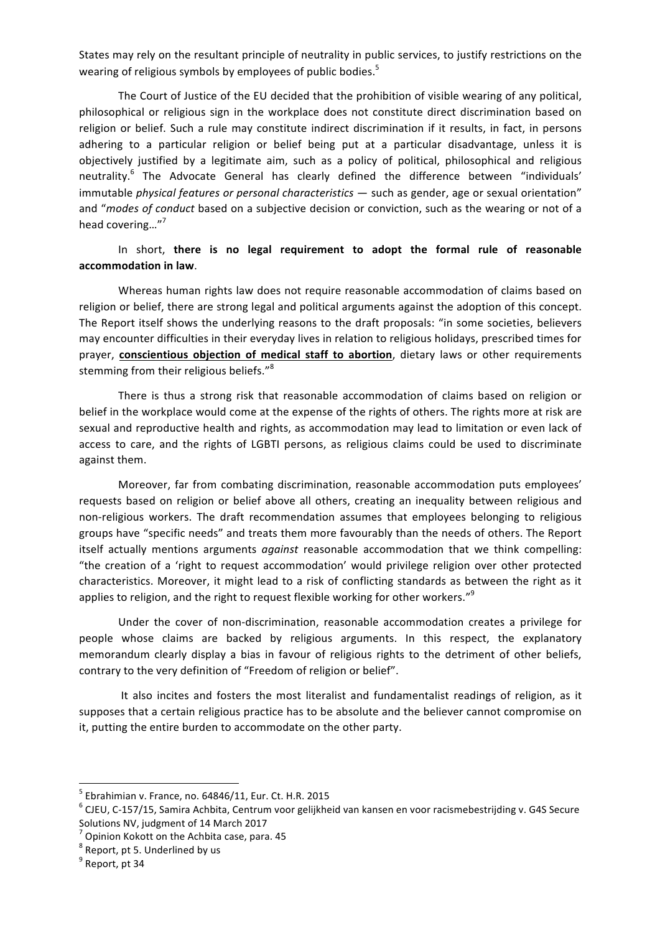States may rely on the resultant principle of neutrality in public services, to justify restrictions on the wearing of religious symbols by employees of public bodies.<sup>5</sup>

The Court of Justice of the EU decided that the prohibition of visible wearing of any political, philosophical or religious sign in the workplace does not constitute direct discrimination based on religion or belief. Such a rule may constitute indirect discrimination if it results, in fact, in persons adhering to a particular religion or belief being put at a particular disadvantage, unless it is objectively justified by a legitimate aim, such as a policy of political, philosophical and religious neutrality.<sup>6</sup> The Advocate General has clearly defined the difference between "individuals' immutable *physical features or personal characteristics* - such as gender, age or sexual orientation" and "modes of conduct based on a subjective decision or conviction, such as the wearing or not of a head covering..."<sup>7</sup>

## In short, there is no legal requirement to adopt the formal rule of reasonable **accommodation in law**.

Whereas human rights law does not require reasonable accommodation of claims based on religion or belief, there are strong legal and political arguments against the adoption of this concept. The Report itself shows the underlying reasons to the draft proposals: "in some societies, believers may encounter difficulties in their everyday lives in relation to religious holidays, prescribed times for prayer, **conscientious objection of medical staff to abortion**, dietary laws or other requirements stemming from their religious beliefs."<sup>8</sup>

There is thus a strong risk that reasonable accommodation of claims based on religion or belief in the workplace would come at the expense of the rights of others. The rights more at risk are sexual and reproductive health and rights, as accommodation may lead to limitation or even lack of access to care, and the rights of LGBTI persons, as religious claims could be used to discriminate against them.

Moreover, far from combating discrimination, reasonable accommodation puts employees' requests based on religion or belief above all others, creating an inequality between religious and non-religious workers. The draft recommendation assumes that employees belonging to religious groups have "specific needs" and treats them more favourably than the needs of others. The Report itself actually mentions arguments *against* reasonable accommodation that we think compelling: "the creation of a 'right to request accommodation' would privilege religion over other protected characteristics. Moreover, it might lead to a risk of conflicting standards as between the right as it applies to religion, and the right to request flexible working for other workers." $^{\text{9}}$ 

Under the cover of non-discrimination, reasonable accommodation creates a privilege for people whose claims are backed by religious arguments. In this respect, the explanatory memorandum clearly display a bias in favour of religious rights to the detriment of other beliefs, contrary to the very definition of "Freedom of religion or belief".

It also incites and fosters the most literalist and fundamentalist readings of religion, as it supposes that a certain religious practice has to be absolute and the believer cannot compromise on it, putting the entire burden to accommodate on the other party.

 $^5$  Ebrahimian v. France, no. 64846/11, Eur. Ct. H.R. 2015<br> $^6$  CJEU, C-157/15, Samira Achbita, Centrum voor gelijkheid van kansen en voor racismebestrijding v. G4S Secure Solutions NV, judgment of 14 March 2017

 $7$  Opinion Kokott on the Achbita case, para. 45  $8$  Report, pt 5. Underlined by us<br> $9$  Report, pt 34